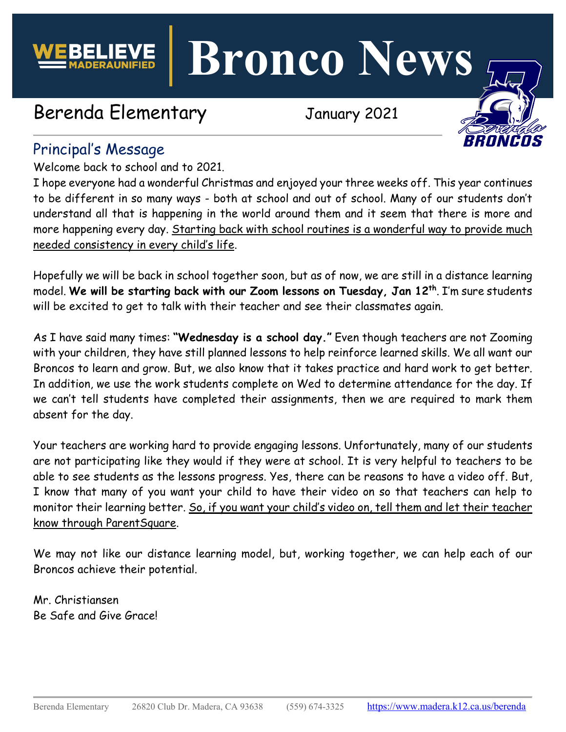

**Bronco News**

# Berenda Elementary January 2021



## Principal's Message

Welcome back to school and to 2021.

I hope everyone had a wonderful Christmas and enjoyed your three weeks off. This year continues to be different in so many ways - both at school and out of school. Many of our students don't understand all that is happening in the world around them and it seem that there is more and more happening every day. Starting back with school routines is a wonderful way to provide much needed consistency in every child's life.

Hopefully we will be back in school together soon, but as of now, we are still in a distance learning model. **We will be starting back with our Zoom lessons on Tuesday, Jan 12th**. I'm sure students will be excited to get to talk with their teacher and see their classmates again.

As I have said many times: **"Wednesday is a school day."** Even though teachers are not Zooming with your children, they have still planned lessons to help reinforce learned skills. We all want our Broncos to learn and grow. But, we also know that it takes practice and hard work to get better. In addition, we use the work students complete on Wed to determine attendance for the day. If we can't tell students have completed their assignments, then we are required to mark them absent for the day.

Your teachers are working hard to provide engaging lessons. Unfortunately, many of our students are not participating like they would if they were at school. It is very helpful to teachers to be able to see students as the lessons progress. Yes, there can be reasons to have a video off. But, I know that many of you want your child to have their video on so that teachers can help to monitor their learning better. So, if you want your child's video on, tell them and let their teacher know through ParentSquare.

We may not like our distance learning model, but, working together, we can help each of our Broncos achieve their potential.

Mr. Christiansen Be Safe and Give Grace!